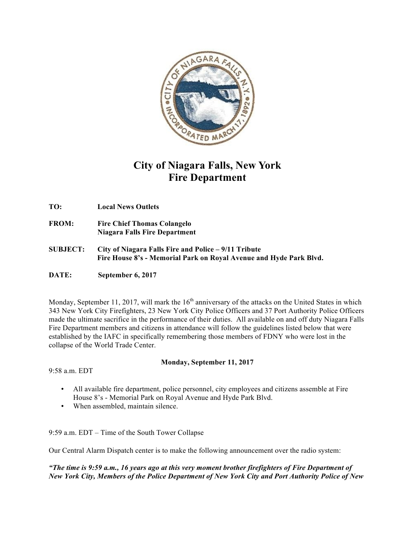

## **City of Niagara Falls, New York Fire Department**

**TO: Local News Outlets**

- **FROM: Fire Chief Thomas Colangelo Niagara Falls Fire Department**
- **SUBJECT: City of Niagara Falls Fire and Police – 9/11 Tribute Fire House 8's - Memorial Park on Royal Avenue and Hyde Park Blvd.**
- **DATE: September 6, 2017**

Monday, September 11, 2017, will mark the  $16<sup>th</sup>$  anniversary of the attacks on the United States in which 343 New York City Firefighters, 23 New York City Police Officers and 37 Port Authority Police Officers made the ultimate sacrifice in the performance of their duties. All available on and off duty Niagara Falls Fire Department members and citizens in attendance will follow the guidelines listed below that were established by the IAFC in specifically remembering those members of FDNY who were lost in the collapse of the World Trade Center.

 $9.58$  a.m. EDT

## **Monday, September 11, 2017**

- All available fire department, police personnel, city employees and citizens assemble at Fire House 8's - Memorial Park on Royal Avenue and Hyde Park Blvd.
- When assembled, maintain silence.

9:59 a.m. EDT – Time of the South Tower Collapse

Our Central Alarm Dispatch center is to make the following announcement over the radio system:

*"The time is 9:59 a.m., 16 years ago at this very moment brother firefighters of Fire Department of New York City, Members of the Police Department of New York City and Port Authority Police of New*